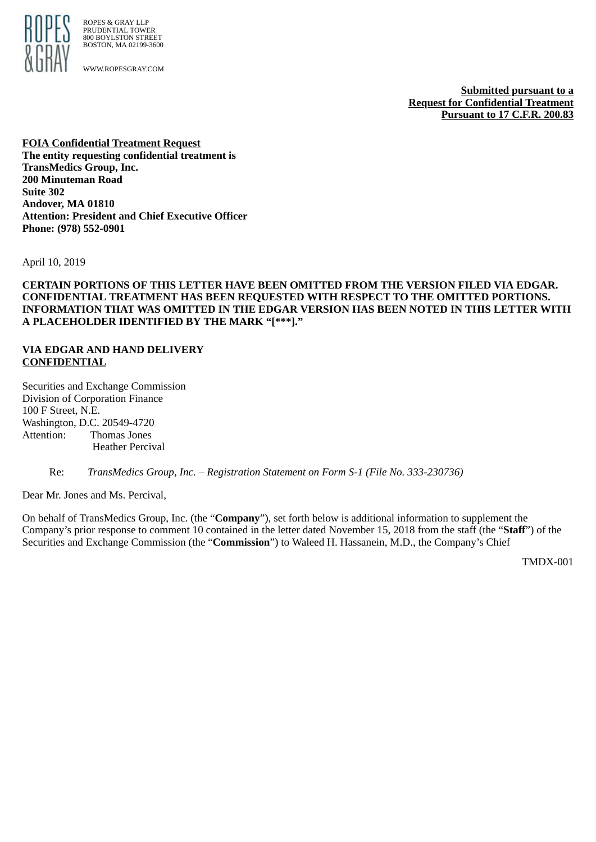

ROPES & GRAY LLP PRUDENTIAL TOWER 800 BOYLSTON STREET BOSTON, MA 02199-3600

WWW.ROPESGRAY.COM

**Submitted pursuant to a Request for Confidential Treatment Pursuant to 17 C.F.R. 200.83**

**FOIA Confidential Treatment Request The entity requesting confidential treatment is TransMedics Group, Inc. 200 Minuteman Road Suite 302 Andover, MA 01810 Attention: President and Chief Executive Officer Phone: (978) 552-0901**

April 10, 2019

**CERTAIN PORTIONS OF THIS LETTER HAVE BEEN OMITTED FROM THE VERSION FILED VIA EDGAR. CONFIDENTIAL TREATMENT HAS BEEN REQUESTED WITH RESPECT TO THE OMITTED PORTIONS. INFORMATION THAT WAS OMITTED IN THE EDGAR VERSION HAS BEEN NOTED IN THIS LETTER WITH A PLACEHOLDER IDENTIFIED BY THE MARK "[\*\*\*]."**

#### **VIA EDGAR AND HAND DELIVERY CONFIDENTIAL**

Securities and Exchange Commission Division of Corporation Finance 100 F Street, N.E. Washington, D.C. 20549-4720 Attention: Thomas Jones Heather Percival

Re: *TransMedics Group, Inc. – Registration Statement on Form S-1 (File No. 333-230736)*

Dear Mr. Jones and Ms. Percival,

On behalf of TransMedics Group, Inc. (the "**Company**"), set forth below is additional information to supplement the Company's prior response to comment 10 contained in the letter dated November 15, 2018 from the staff (the "**Staff**") of the Securities and Exchange Commission (the "**Commission**") to Waleed H. Hassanein, M.D., the Company's Chief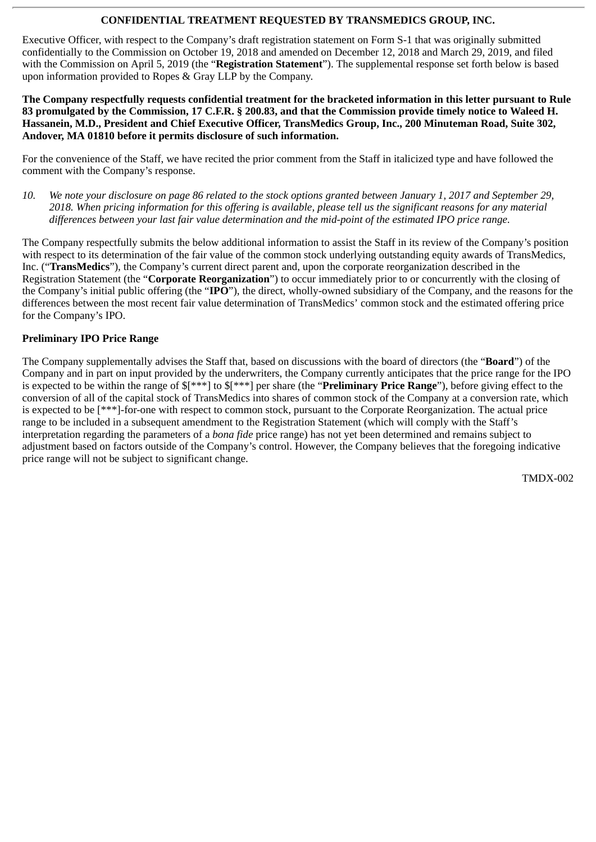Executive Officer, with respect to the Company's draft registration statement on Form S-1 that was originally submitted confidentially to the Commission on October 19, 2018 and amended on December 12, 2018 and March 29, 2019, and filed with the Commission on April 5, 2019 (the "**Registration Statement**"). The supplemental response set forth below is based upon information provided to Ropes & Gray LLP by the Company.

**The Company respectfully requests confidential treatment for the bracketed information in this letter pursuant to Rule 83 promulgated by the Commission, 17 C.F.R. § 200.83, and that the Commission provide timely notice to Waleed H. Hassanein, M.D., President and Chief Executive Officer, TransMedics Group, Inc., 200 Minuteman Road, Suite 302, Andover, MA 01810 before it permits disclosure of such information.**

For the convenience of the Staff, we have recited the prior comment from the Staff in italicized type and have followed the comment with the Company's response.

*10. We note your disclosure on page 86 related to the stock options granted between January 1, 2017 and September 29, 2018. When pricing information for this offering is available, please tell us the significant reasons for any material differences between your last fair value determination and the mid-point of the estimated IPO price range.*

The Company respectfully submits the below additional information to assist the Staff in its review of the Company's position with respect to its determination of the fair value of the common stock underlying outstanding equity awards of TransMedics, Inc. ("**TransMedics**"), the Company's current direct parent and, upon the corporate reorganization described in the Registration Statement (the "**Corporate Reorganization**") to occur immediately prior to or concurrently with the closing of the Company's initial public offering (the "**IPO**"), the direct, wholly-owned subsidiary of the Company, and the reasons for the differences between the most recent fair value determination of TransMedics' common stock and the estimated offering price for the Company's IPO.

### **Preliminary IPO Price Range**

The Company supplementally advises the Staff that, based on discussions with the board of directors (the "**Board**") of the Company and in part on input provided by the underwriters, the Company currently anticipates that the price range for the IPO is expected to be within the range of \$[\*\*\*] to \$[\*\*\*] per share (the "**Preliminary Price Range**"), before giving effect to the conversion of all of the capital stock of TransMedics into shares of common stock of the Company at a conversion rate, which is expected to be [\*\*\*]-for-one with respect to common stock, pursuant to the Corporate Reorganization. The actual price range to be included in a subsequent amendment to the Registration Statement (which will comply with the Staff's interpretation regarding the parameters of a *bona fide* price range) has not yet been determined and remains subject to adjustment based on factors outside of the Company's control. However, the Company believes that the foregoing indicative price range will not be subject to significant change.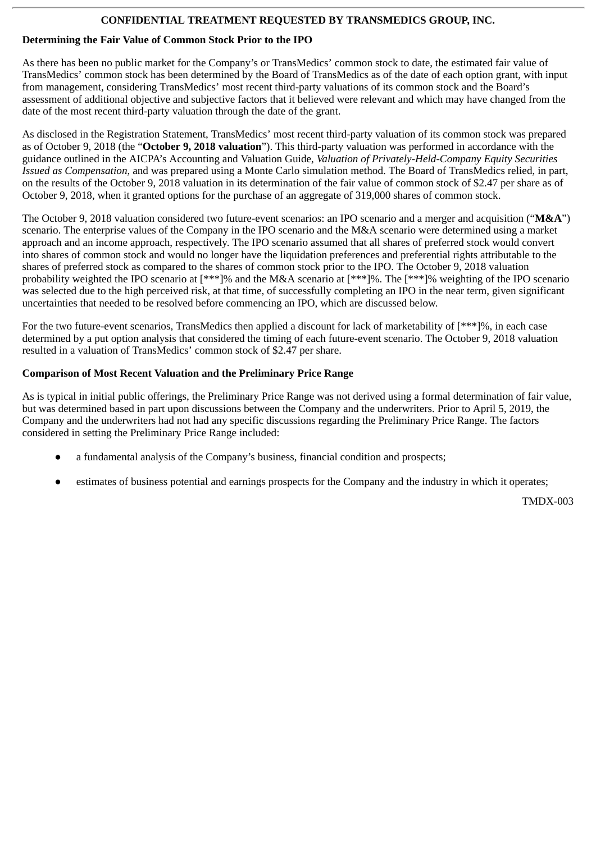# **Determining the Fair Value of Common Stock Prior to the IPO**

As there has been no public market for the Company's or TransMedics' common stock to date, the estimated fair value of TransMedics' common stock has been determined by the Board of TransMedics as of the date of each option grant, with input from management, considering TransMedics' most recent third-party valuations of its common stock and the Board's assessment of additional objective and subjective factors that it believed were relevant and which may have changed from the date of the most recent third-party valuation through the date of the grant.

As disclosed in the Registration Statement, TransMedics' most recent third-party valuation of its common stock was prepared as of October 9, 2018 (the "**October 9, 2018 valuation**"). This third-party valuation was performed in accordance with the guidance outlined in the AICPA's Accounting and Valuation Guide, *Valuation of Privately-Held-Company Equity Securities Issued as Compensation*, and was prepared using a Monte Carlo simulation method. The Board of TransMedics relied, in part, on the results of the October 9, 2018 valuation in its determination of the fair value of common stock of \$2.47 per share as of October 9, 2018, when it granted options for the purchase of an aggregate of 319,000 shares of common stock.

The October 9, 2018 valuation considered two future-event scenarios: an IPO scenario and a merger and acquisition ("**M&A**") scenario. The enterprise values of the Company in the IPO scenario and the M&A scenario were determined using a market approach and an income approach, respectively. The IPO scenario assumed that all shares of preferred stock would convert into shares of common stock and would no longer have the liquidation preferences and preferential rights attributable to the shares of preferred stock as compared to the shares of common stock prior to the IPO. The October 9, 2018 valuation probability weighted the IPO scenario at [\*\*\*]% and the M&A scenario at [\*\*\*]%. The [\*\*\*]% weighting of the IPO scenario was selected due to the high perceived risk, at that time, of successfully completing an IPO in the near term, given significant uncertainties that needed to be resolved before commencing an IPO, which are discussed below.

For the two future-event scenarios, TransMedics then applied a discount for lack of marketability of [\*\*\*]%, in each case determined by a put option analysis that considered the timing of each future-event scenario. The October 9, 2018 valuation resulted in a valuation of TransMedics' common stock of \$2.47 per share.

### **Comparison of Most Recent Valuation and the Preliminary Price Range**

As is typical in initial public offerings, the Preliminary Price Range was not derived using a formal determination of fair value, but was determined based in part upon discussions between the Company and the underwriters. Prior to April 5, 2019, the Company and the underwriters had not had any specific discussions regarding the Preliminary Price Range. The factors considered in setting the Preliminary Price Range included:

- a fundamental analysis of the Company's business, financial condition and prospects;
- estimates of business potential and earnings prospects for the Company and the industry in which it operates;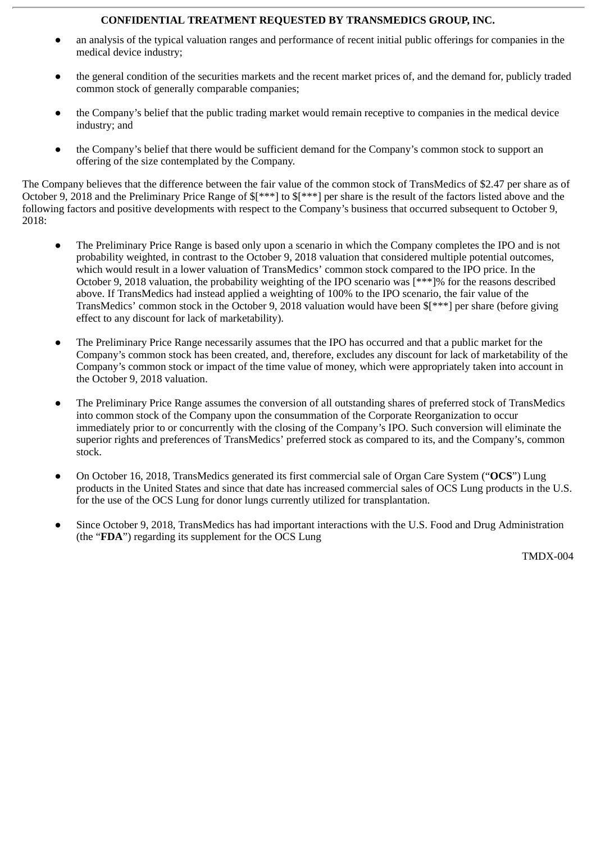- an analysis of the typical valuation ranges and performance of recent initial public offerings for companies in the medical device industry;
- the general condition of the securities markets and the recent market prices of, and the demand for, publicly traded common stock of generally comparable companies;
- the Company's belief that the public trading market would remain receptive to companies in the medical device industry; and
- the Company's belief that there would be sufficient demand for the Company's common stock to support an offering of the size contemplated by the Company.

The Company believes that the difference between the fair value of the common stock of TransMedics of \$2.47 per share as of October 9, 2018 and the Preliminary Price Range of \$[\*\*\*] to \$[\*\*\*] per share is the result of the factors listed above and the following factors and positive developments with respect to the Company's business that occurred subsequent to October 9, 2018:

- The Preliminary Price Range is based only upon a scenario in which the Company completes the IPO and is not probability weighted, in contrast to the October 9, 2018 valuation that considered multiple potential outcomes, which would result in a lower valuation of TransMedics' common stock compared to the IPO price. In the October 9, 2018 valuation, the probability weighting of the IPO scenario was [\*\*\*]% for the reasons described above. If TransMedics had instead applied a weighting of 100% to the IPO scenario, the fair value of the TransMedics' common stock in the October 9, 2018 valuation would have been \$[\*\*\*] per share (before giving effect to any discount for lack of marketability).
- The Preliminary Price Range necessarily assumes that the IPO has occurred and that a public market for the Company's common stock has been created, and, therefore, excludes any discount for lack of marketability of the Company's common stock or impact of the time value of money, which were appropriately taken into account in the October 9, 2018 valuation.
- The Preliminary Price Range assumes the conversion of all outstanding shares of preferred stock of TransMedics into common stock of the Company upon the consummation of the Corporate Reorganization to occur immediately prior to or concurrently with the closing of the Company's IPO. Such conversion will eliminate the superior rights and preferences of TransMedics' preferred stock as compared to its, and the Company's, common stock.
- On October 16, 2018, TransMedics generated its first commercial sale of Organ Care System ("**OCS**") Lung products in the United States and since that date has increased commercial sales of OCS Lung products in the U.S. for the use of the OCS Lung for donor lungs currently utilized for transplantation.
- Since October 9, 2018, TransMedics has had important interactions with the U.S. Food and Drug Administration (the "**FDA**") regarding its supplement for the OCS Lung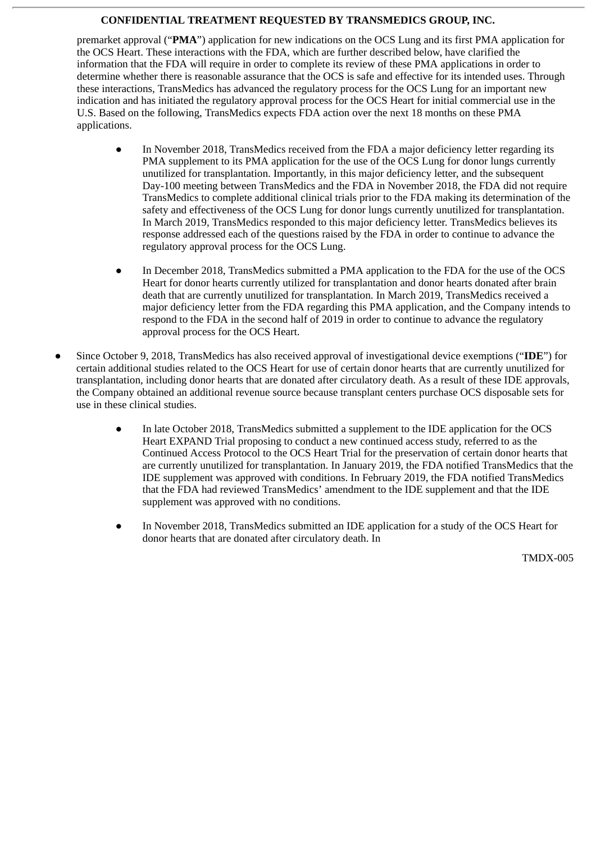premarket approval ("**PMA**") application for new indications on the OCS Lung and its first PMA application for the OCS Heart. These interactions with the FDA, which are further described below, have clarified the information that the FDA will require in order to complete its review of these PMA applications in order to determine whether there is reasonable assurance that the OCS is safe and effective for its intended uses. Through these interactions, TransMedics has advanced the regulatory process for the OCS Lung for an important new indication and has initiated the regulatory approval process for the OCS Heart for initial commercial use in the U.S. Based on the following, TransMedics expects FDA action over the next 18 months on these PMA applications.

- In November 2018, TransMedics received from the FDA a major deficiency letter regarding its PMA supplement to its PMA application for the use of the OCS Lung for donor lungs currently unutilized for transplantation. Importantly, in this major deficiency letter, and the subsequent Day-100 meeting between TransMedics and the FDA in November 2018, the FDA did not require TransMedics to complete additional clinical trials prior to the FDA making its determination of the safety and effectiveness of the OCS Lung for donor lungs currently unutilized for transplantation. In March 2019, TransMedics responded to this major deficiency letter. TransMedics believes its response addressed each of the questions raised by the FDA in order to continue to advance the regulatory approval process for the OCS Lung.
- In December 2018, TransMedics submitted a PMA application to the FDA for the use of the OCS Heart for donor hearts currently utilized for transplantation and donor hearts donated after brain death that are currently unutilized for transplantation. In March 2019, TransMedics received a major deficiency letter from the FDA regarding this PMA application, and the Company intends to respond to the FDA in the second half of 2019 in order to continue to advance the regulatory approval process for the OCS Heart.
- Since October 9, 2018, TransMedics has also received approval of investigational device exemptions ("**IDE**") for certain additional studies related to the OCS Heart for use of certain donor hearts that are currently unutilized for transplantation, including donor hearts that are donated after circulatory death. As a result of these IDE approvals, the Company obtained an additional revenue source because transplant centers purchase OCS disposable sets for use in these clinical studies.
	- In late October 2018, TransMedics submitted a supplement to the IDE application for the OCS Heart EXPAND Trial proposing to conduct a new continued access study, referred to as the Continued Access Protocol to the OCS Heart Trial for the preservation of certain donor hearts that are currently unutilized for transplantation. In January 2019, the FDA notified TransMedics that the IDE supplement was approved with conditions. In February 2019, the FDA notified TransMedics that the FDA had reviewed TransMedics' amendment to the IDE supplement and that the IDE supplement was approved with no conditions.
	- In November 2018, TransMedics submitted an IDE application for a study of the OCS Heart for donor hearts that are donated after circulatory death. In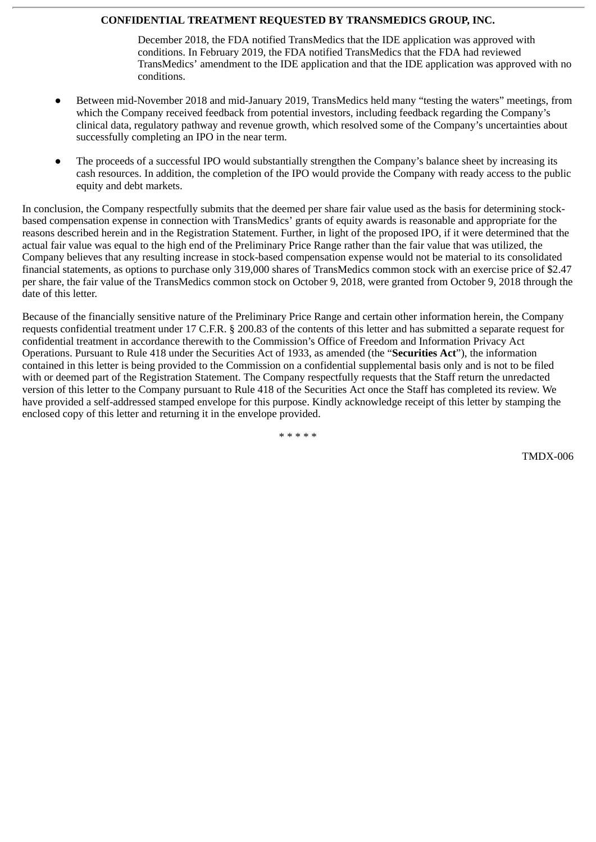December 2018, the FDA notified TransMedics that the IDE application was approved with conditions. In February 2019, the FDA notified TransMedics that the FDA had reviewed TransMedics' amendment to the IDE application and that the IDE application was approved with no conditions.

- Between mid-November 2018 and mid-January 2019, TransMedics held many "testing the waters" meetings, from which the Company received feedback from potential investors, including feedback regarding the Company's clinical data, regulatory pathway and revenue growth, which resolved some of the Company's uncertainties about successfully completing an IPO in the near term.
- The proceeds of a successful IPO would substantially strengthen the Company's balance sheet by increasing its cash resources. In addition, the completion of the IPO would provide the Company with ready access to the public equity and debt markets.

In conclusion, the Company respectfully submits that the deemed per share fair value used as the basis for determining stockbased compensation expense in connection with TransMedics' grants of equity awards is reasonable and appropriate for the reasons described herein and in the Registration Statement. Further, in light of the proposed IPO, if it were determined that the actual fair value was equal to the high end of the Preliminary Price Range rather than the fair value that was utilized, the Company believes that any resulting increase in stock-based compensation expense would not be material to its consolidated financial statements, as options to purchase only 319,000 shares of TransMedics common stock with an exercise price of \$2.47 per share, the fair value of the TransMedics common stock on October 9, 2018, were granted from October 9, 2018 through the date of this letter.

Because of the financially sensitive nature of the Preliminary Price Range and certain other information herein, the Company requests confidential treatment under 17 C.F.R. § 200.83 of the contents of this letter and has submitted a separate request for confidential treatment in accordance therewith to the Commission's Office of Freedom and Information Privacy Act Operations. Pursuant to Rule 418 under the Securities Act of 1933, as amended (the "**Securities Act**"), the information contained in this letter is being provided to the Commission on a confidential supplemental basis only and is not to be filed with or deemed part of the Registration Statement. The Company respectfully requests that the Staff return the unredacted version of this letter to the Company pursuant to Rule 418 of the Securities Act once the Staff has completed its review. We have provided a self-addressed stamped envelope for this purpose. Kindly acknowledge receipt of this letter by stamping the enclosed copy of this letter and returning it in the envelope provided.

\* \* \* \* \*